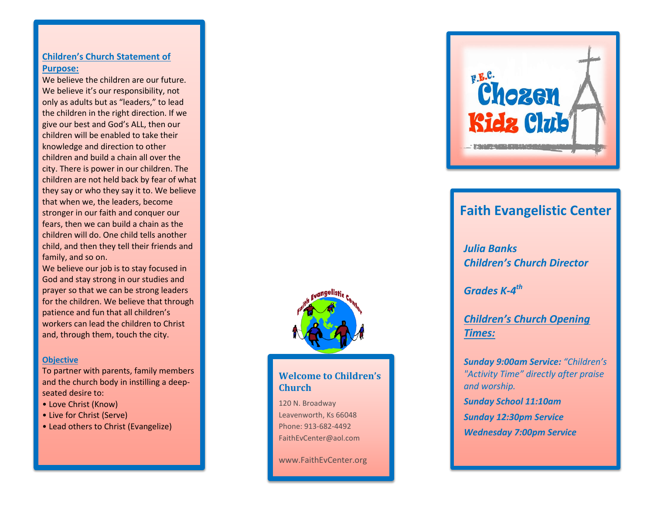#### **Children's Church Statement of Purpose:**

We believe the children are our future. We believe it's our responsibility, not only as adults but as "leaders," to lead the children in the right direction. If we give our best and God's ALL, then our children will be enabled to take their knowledge and direction to other children and build a chain all over the city. There is power in our children. The children are not held back by fear of what they say or who they say it to. We believe that when we, the leaders, become stronger in our faith and conquer our fears, then we can build a chain as the children will do. One child tells another child, and then they tell their friends and family, and so on.

We believe our job is to stay focused in God and stay strong in our studies and prayer so that we can be strong leaders for the children. We believe that through patience and fun that all children's workers can lead the children to Christ and, through them, touch the city.

#### **Objective**

To partner with parents, family members and the church body in instilling a deep seated desire to:

- Love Christ (Know)
- Live for Christ (Serve)
- Lead others to Christ (Evangelize)



## **Welcome to Children's Church**

120 N. Broadway Leavenworth, Ks 66048 Phone: 913 -682 -4492 FaithEvCenter@aol.com

www.FaithEvCenter.org



# **Faith Evangelistic Center**

*Julia Banks Children's Church Director*

*Grades K-4 th*

*Children's Church Opening Times:*

*Sunday 9:00am Service: "Children's "Activity Time" directly after praise and worship.*

*Sunday School 11:10am Sunday 12 :30pm Service Wednesday 7:00pm Service*